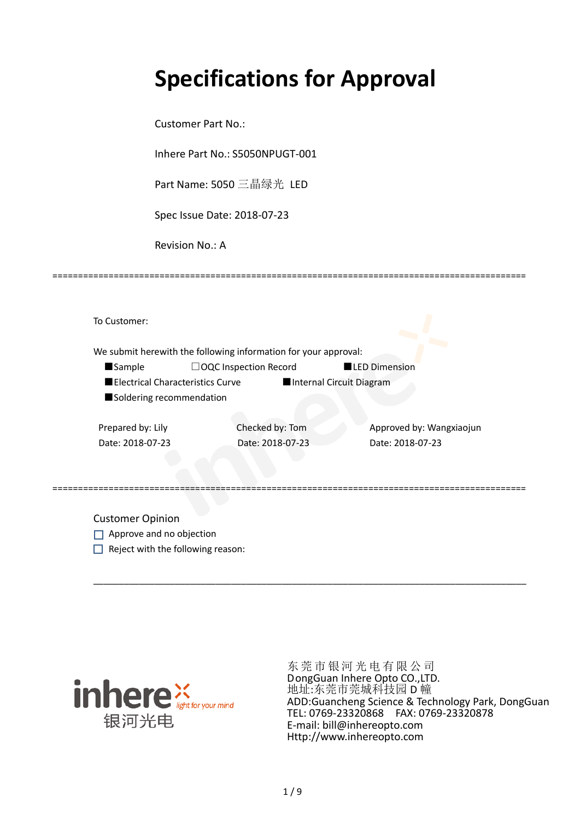# **Specifications for Approval**

Customer Part No.:

Inhere Part No.: S5050NPUGT-001

Part Name: 5050 三晶绿光 LED

Spec Issue Date: 2018-07-23

Revision No.: A

|                          | We submit herewith the following information for your approval: |                  |                          |
|--------------------------|-----------------------------------------------------------------|------------------|--------------------------|
| <b>Sample</b>            | $\Box$ OQC Inspection Record                                    |                  | <b>LED Dimension</b>     |
|                          | Electrical Characteristics Curve                                |                  | Internal Circuit Diagram |
| Soldering recommendation |                                                                 |                  |                          |
|                          |                                                                 |                  |                          |
| Prepared by: Lily        |                                                                 | Checked by: Tom  | Approved by: Wangxiaojun |
| Date: 2018-07-23         |                                                                 | Date: 2018-07-23 | Date: 2018-07-23         |
|                          |                                                                 |                  |                          |

\_\_\_\_\_\_\_\_\_\_\_\_\_\_\_\_\_\_\_\_\_\_\_\_\_\_\_\_\_\_\_\_\_\_\_\_\_\_\_\_\_\_\_\_\_\_\_\_\_\_\_\_\_\_\_\_\_\_\_\_\_\_\_\_\_\_\_\_\_\_\_\_\_\_\_\_\_\_\_\_\_\_\_\_\_

=============================================================================================

Customer Opinion

- Approve and no objection
- $\Box$  Reject with the following reason:



东莞市银河光电有限公司 DongGuan Inhere Opto CO.,LTD. 地址:东莞市莞城科技园 D 幢 ADD:Guancheng Science & Technology Park, DongGuan TEL: 0769-23320868 FAX: 0769-23320878 E-mail: bill@inhereopto.com Http://www.inhereopto.com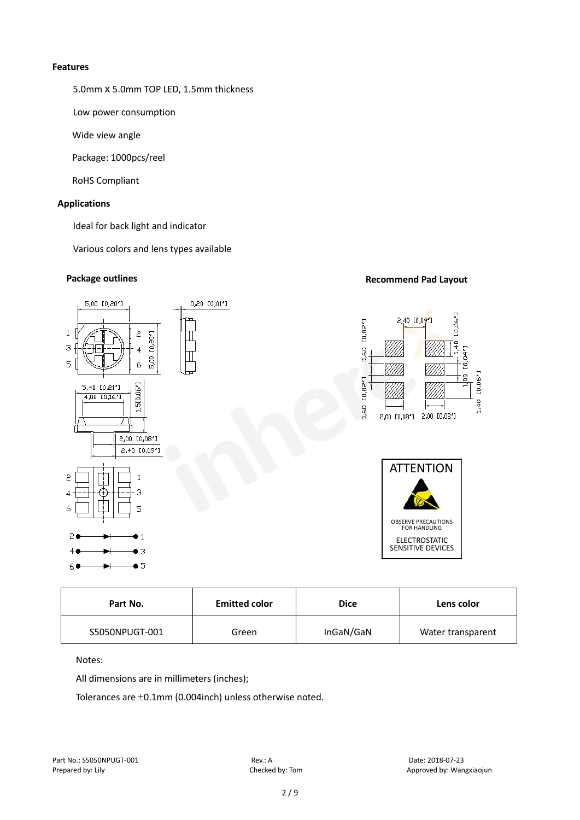#### **Features**

5.0mm x 5.0mm TOP LED, 1.5mm thickness

Low power consumption

Wide view angle

Package: 1000pcs/reel

RoHS Compliant

# **Applications**

Ideal for back light and indicator

Various colors and lens types available

# **Package outlines Recommend Pad Layout Recommend Pad Layout**



| Part No.       | <b>Emitted color</b> | <b>Dice</b> | Lens color        |
|----------------|----------------------|-------------|-------------------|
| S5050NPUGT-001 | Green                | InGaN/GaN   | Water transparent |

# Notes:

All dimensions are in millimeters (inches);

Tolerances are ±0.1mm (0.004inch) unless otherwise noted.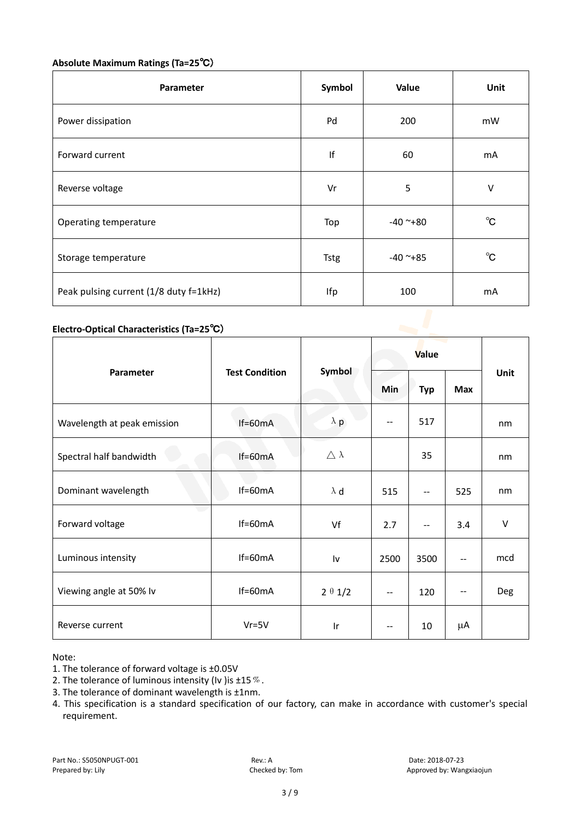# **Absolute Maximum Ratings (Ta=25**℃)

| Parameter                              | Symbol      | Value      | Unit         |
|----------------------------------------|-------------|------------|--------------|
| Power dissipation                      | Pd          | 200        | mW           |
| Forward current                        | If          | 60         | mA           |
| Reverse voltage                        | Vr          | 5          | V            |
| Operating temperature                  | Top         | $-40$ ~+80 | $^{\circ}$ C |
| Storage temperature                    | <b>Tstg</b> | $-40$ ~+85 | $^{\circ}$ C |
| Peak pulsing current (1/8 duty f=1kHz) | Ifp         | 100        | mA           |

# **Electro-Optical Characteristics (Ta=25**℃)

|                             | <b>Test Condition</b> | Symbol              | Value   |                          |            |        |
|-----------------------------|-----------------------|---------------------|---------|--------------------------|------------|--------|
| Parameter                   |                       |                     | Min     | <b>Typ</b>               | <b>Max</b> | Unit   |
| Wavelength at peak emission | $If=60mA$             | $\lambda$ p         |         | 517                      |            | nm     |
| Spectral half bandwidth     | $If=60mA$             | $\triangle \lambda$ |         | 35                       |            | nm     |
| Dominant wavelength         | $If=60mA$             | $\lambda$ d         | 515     | $\overline{\phantom{m}}$ | 525        | nm     |
| Forward voltage             | $If=60mA$             | Vf                  | 2.7     | --                       | 3.4        | $\vee$ |
| Luminous intensity          | $If=60mA$             | Iv                  | 2500    | 3500                     | --         | mcd    |
| Viewing angle at 50% lv     | $If=60mA$             | $2 \theta 1/2$      | $-\, -$ | 120                      | --         | Deg    |
| Reverse current             | $Vr = 5V$             | Ir                  |         | 10                       | $\mu$ A    |        |

Note:

- 2. The tolerance of luminous intensity (Iv ) is  $\pm 15\%$ .
- 3. The tolerance of dominant wavelength is ±1nm.
- 4. This specification is a standard specification of our factory, can make in accordance with customer's special requirement.

<sup>1.</sup> The tolerance of forward voltage is ±0.05V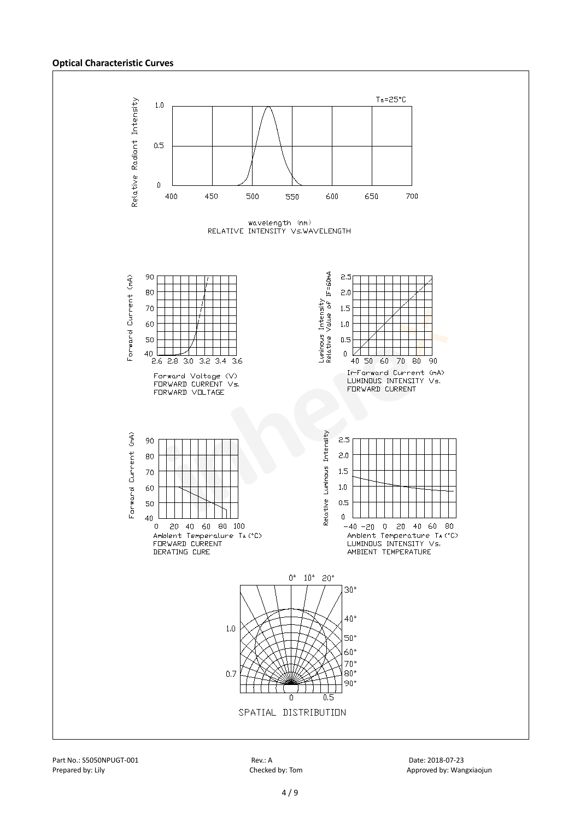#### **Optical Characteristic Curves**

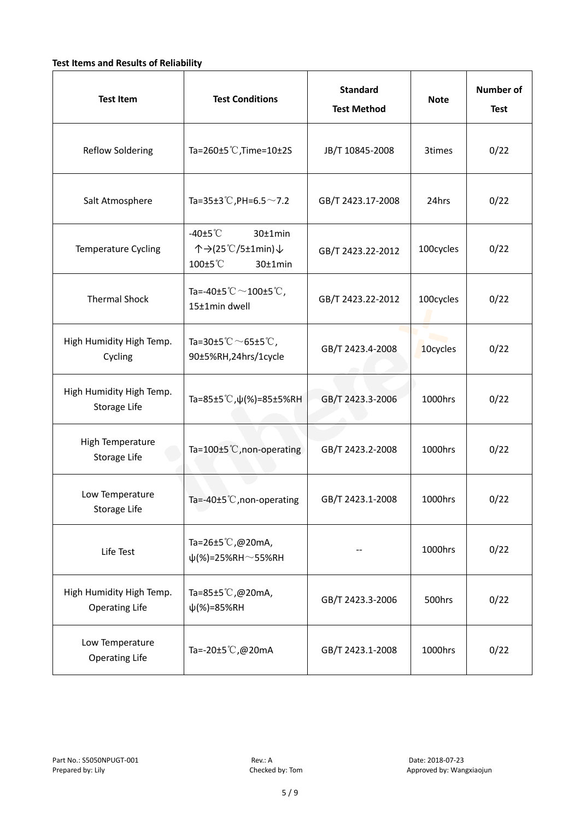# **Test Items and Results of Reliability**

| <b>Test Item</b>                                  | <b>Test Conditions</b>                                                       | <b>Standard</b><br><b>Test Method</b> | <b>Note</b> | <b>Number of</b><br><b>Test</b> |
|---------------------------------------------------|------------------------------------------------------------------------------|---------------------------------------|-------------|---------------------------------|
| <b>Reflow Soldering</b>                           | Ta=260±5 °C, Time=10±2S                                                      | JB/T 10845-2008                       | 3times      | 0/22                            |
| Salt Atmosphere                                   | Ta=35±3°C, PH=6.5 $\sim$ 7.2                                                 | GB/T 2423.17-2008                     | 24hrs       | 0/22                            |
| Temperature Cycling                               | -40 $±5^{\circ}$ C<br>$30±1$ min<br>个→(25℃/5±1min)↓<br>100±5°C<br>$30±1$ min | GB/T 2423.22-2012                     | 100cycles   | 0/22                            |
| <b>Thermal Shock</b>                              | Ta=-40±5 $°C$ ~100±5 $°C$ ,<br>15±1min dwell                                 | GB/T 2423.22-2012                     | 100cycles   | 0/22                            |
| High Humidity High Temp.<br>Cycling               | Ta=30±5 $^{\circ}$ C $\sim$ 65±5 $^{\circ}$ C,<br>90±5%RH,24hrs/1cycle       | GB/T 2423.4-2008                      | 10cycles    | 0/22                            |
| High Humidity High Temp.<br>Storage Life          | Ta=85±5 °C, $\psi$ (%)=85±5%RH                                               | GB/T 2423.3-2006                      | 1000hrs     | 0/22                            |
| High Temperature<br>Storage Life                  | Ta=100±5°C, non-operating                                                    | GB/T 2423.2-2008                      | 1000hrs     | 0/22                            |
| Low Temperature<br>Storage Life                   | Ta=-40±5℃, non-operating                                                     | GB/T 2423.1-2008                      | 1000hrs     | 0/22                            |
| Life Test                                         | Ta=26±5℃,@20mA,<br>$\psi$ (%)=25%RH~55%RH                                    |                                       | 1000hrs     | 0/22                            |
| High Humidity High Temp.<br><b>Operating Life</b> | Ta=85±5℃,@20mA,<br>$\psi$ (%)=85%RH                                          | GB/T 2423.3-2006                      | 500hrs      | 0/22                            |
| Low Temperature<br><b>Operating Life</b>          | Ta=-20±5℃,@20mA                                                              | GB/T 2423.1-2008                      | 1000hrs     | 0/22                            |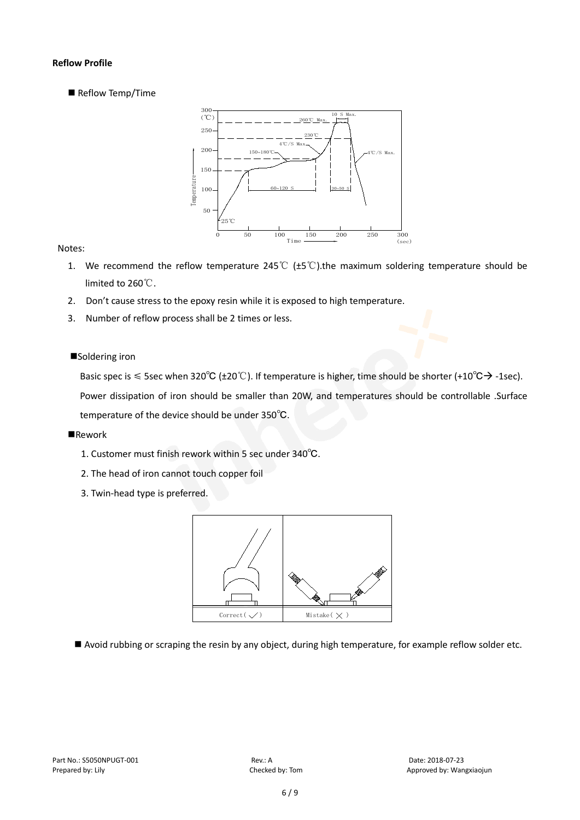# **Reflow Profile**

Reflow Temp/Time



# Notes:

- 1. We recommend the reflow temperature 245°C ( $\pm$ 5°C).the maximum soldering temperature should be limited to 260℃.
- 2. Don't cause stress to the epoxy resin while it is exposed to high temperature.
- 3. Number of reflow process shall be 2 times or less.

# ■Soldering iron

Basic spec is  $\leq$  5sec when 320°C (±20°C). If temperature is higher, time should be shorter (+10°C $\rightarrow$ -1sec).

Power dissipation of iron should be smaller than 20W, and temperatures should be controllable .Surface temperature of the device should be under 350℃.

#### **Rework**

- 1. Customer must finish rework within 5 sec under 340℃.
- 2. The head of iron cannot touch copper foil
- 3. Twin-head type is preferred.



Avoid rubbing or scraping the resin by any object, during high temperature, for example reflow solder etc.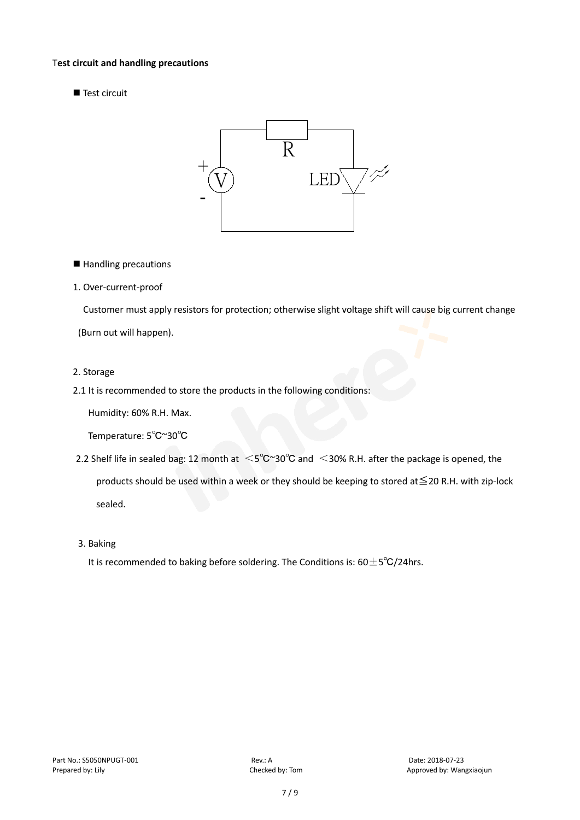#### T**est circuit and handling precautions**

Test circuit



■ Handling precautions

#### 1. Over-current-proof

Customer must apply resistors for protection; otherwise slight voltage shift will cause big current change

(Burn out will happen).

#### 2. Storage

# 2.1 It is recommended to store the products in the following conditions:

Humidity: 60% R.H. Max.

Temperature: 5℃~30℃

- 2.2 Shelf life in sealed bag: 12 month at <5℃~30°C and <30% R.H. after the package is opened, the products should be used within a week or they should be keeping to stored at≦20 R.H. with zip-lock sealed.
- 3. Baking

It is recommended to baking before soldering. The Conditions is:  $60±5°C/24$ hrs.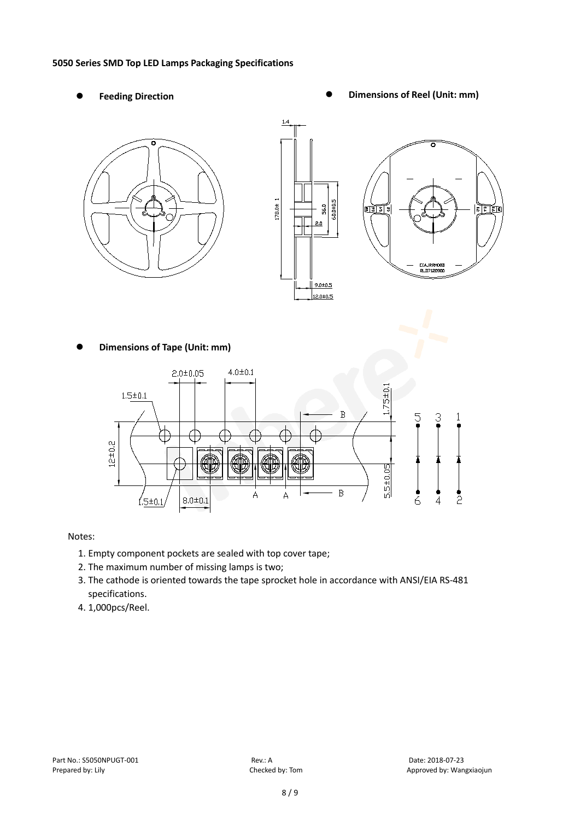#### **5050 Series SMD Top LED Lamps Packaging Specifications**

- 
- Feeding Direction **Constanting Constanting Constanting Constanting Constanting Constanting Constanting Constanting Constanting Constanting Constanting Constanting Constanting Constanting Constanting Constanting Constanting**



**Dimensions of Tape (Unit: mm)**



# Notes:

- 1. Empty component pockets are sealed with top cover tape;
- 2. The maximum number of missing lamps is two;
- 3. The cathode is oriented towards the tape sprocket hole in accordance with ANSI/EIA RS-481 specifications.
- 4. 1,000pcs/Reel.